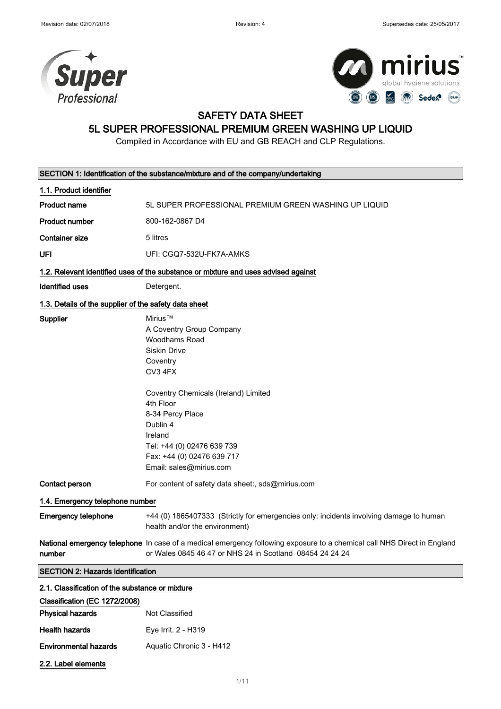



### SAFETY DATA SHEET

### 5L SUPER PROFESSIONAL PREMIUM GREEN WASHING UP LIQUID

Compiled in Accordance with EU and GB REACH and CLP Regulations.

|                                                       | SECTION 1: Identification of the substance/mixture and of the company/undertaking                                                                                                                                                                                                                |
|-------------------------------------------------------|--------------------------------------------------------------------------------------------------------------------------------------------------------------------------------------------------------------------------------------------------------------------------------------------------|
| 1.1. Product identifier                               |                                                                                                                                                                                                                                                                                                  |
| <b>Product name</b>                                   | 5L SUPER PROFESSIONAL PREMIUM GREEN WASHING UP LIQUID                                                                                                                                                                                                                                            |
| <b>Product number</b>                                 | 800-162-0867 D4                                                                                                                                                                                                                                                                                  |
| <b>Container size</b>                                 | 5 litres                                                                                                                                                                                                                                                                                         |
| UFI                                                   | UFI: CGQ7-532U-FK7A-AMKS                                                                                                                                                                                                                                                                         |
|                                                       | 1.2. Relevant identified uses of the substance or mixture and uses advised against                                                                                                                                                                                                               |
| Identified uses                                       | Detergent.                                                                                                                                                                                                                                                                                       |
| 1.3. Details of the supplier of the safety data sheet |                                                                                                                                                                                                                                                                                                  |
| Supplier                                              | Mirius™<br>A Coventry Group Company<br><b>Woodhams Road</b><br><b>Siskin Drive</b><br>Coventry<br>CV3 4FX<br>Coventry Chemicals (Ireland) Limited<br>4th Floor<br>8-34 Percy Place<br>Dublin 4<br>Ireland<br>Tel: +44 (0) 02476 639 739<br>Fax: +44 (0) 02476 639 717<br>Email: sales@mirius.com |
| Contact person                                        | For content of safety data sheet:, sds@mirius.com                                                                                                                                                                                                                                                |
| 1.4. Emergency telephone number                       |                                                                                                                                                                                                                                                                                                  |
| <b>Emergency telephone</b>                            | +44 (0) 1865407333 (Strictly for emergencies only: incidents involving damage to human<br>health and/or the environment)                                                                                                                                                                         |
| number                                                | National emergency telephone In case of a medical emergency following exposure to a chemical call NHS Direct in England<br>or Wales 0845 46 47 or NHS 24 in Scotland 08454 24 24 24                                                                                                              |
| <b>SECTION 2: Hazards identification</b>              |                                                                                                                                                                                                                                                                                                  |
| 2.1. Classification of the substance or mixture       |                                                                                                                                                                                                                                                                                                  |
| Classification (EC 1272/2008)                         |                                                                                                                                                                                                                                                                                                  |
| <b>Physical hazards</b>                               | Not Classified                                                                                                                                                                                                                                                                                   |
| <b>Health hazards</b>                                 | Eye Irrit. 2 - H319                                                                                                                                                                                                                                                                              |

- Environmental hazards Aquatic Chronic 3 H412
- 2.2. Label elements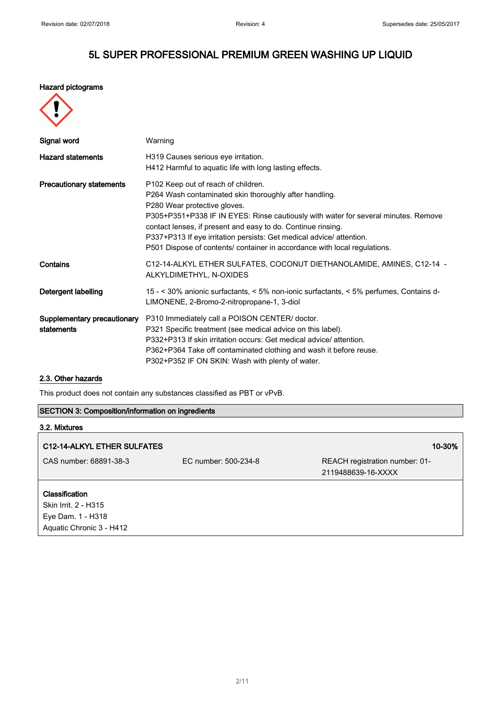#### Hazard pictograms

| e |  |
|---|--|
|   |  |

| Signal word                               | Warning                                                                                                                                                                                                                                                                                                                                                                                                                                  |
|-------------------------------------------|------------------------------------------------------------------------------------------------------------------------------------------------------------------------------------------------------------------------------------------------------------------------------------------------------------------------------------------------------------------------------------------------------------------------------------------|
| <b>Hazard statements</b>                  | H319 Causes serious eye irritation.<br>H412 Harmful to aquatic life with long lasting effects.                                                                                                                                                                                                                                                                                                                                           |
| <b>Precautionary statements</b>           | P102 Keep out of reach of children.<br>P264 Wash contaminated skin thoroughly after handling.<br>P280 Wear protective gloves.<br>P305+P351+P338 IF IN EYES: Rinse cautiously with water for several minutes. Remove<br>contact lenses, if present and easy to do. Continue rinsing.<br>P337+P313 If eye irritation persists: Get medical advice/ attention.<br>P501 Dispose of contents/ container in accordance with local regulations. |
| Contains                                  | C12-14-ALKYL ETHER SULFATES, COCONUT DIETHANOLAMIDE, AMINES, C12-14 -<br>ALKYLDIMETHYL, N-OXIDES                                                                                                                                                                                                                                                                                                                                         |
| Detergent labelling                       | 15 - < 30% anionic surfactants, < 5% non-ionic surfactants, < 5% perfumes, Contains d-<br>LIMONENE, 2-Bromo-2-nitropropane-1, 3-diol                                                                                                                                                                                                                                                                                                     |
| Supplementary precautionary<br>statements | P310 Immediately call a POISON CENTER/ doctor.<br>P321 Specific treatment (see medical advice on this label).<br>P332+P313 If skin irritation occurs: Get medical advice/ attention.<br>P362+P364 Take off contaminated clothing and wash it before reuse.<br>P302+P352 IF ON SKIN: Wash with plenty of water.                                                                                                                           |

#### 2.3. Other hazards

Eye Dam. 1 - H318 Aquatic Chronic 3 - H412

This product does not contain any substances classified as PBT or vPvB.

#### SECTION 3: Composition/information on ingredients

# 3.2. Mixtures C12-14-ALKYL ETHER SULFATES 10-30% and the contract of the contract of the contract of the contract of the contract of the contract of the contract of the contract of the contract of the contract of the contract of the con CAS number: 68891-38-3 EC number: 500-234-8 REACH registration number: 01- 2119488639-16-XXXX Classification Skin Irrit. 2 - H315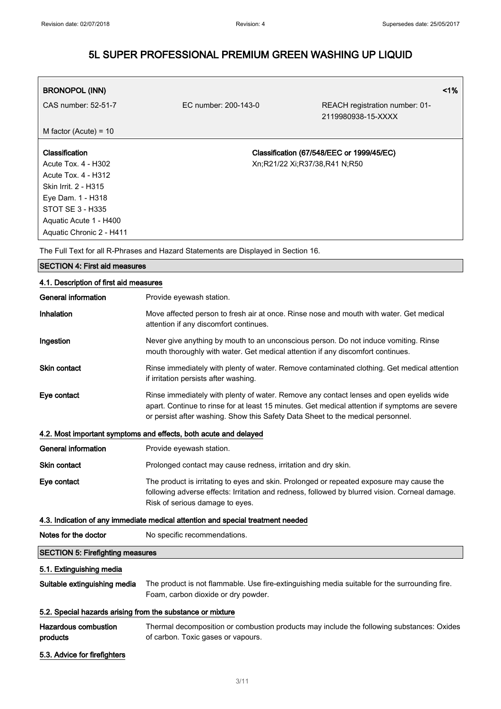| <b>BRONOPOL (INN)</b>      |                                           |                                                      | $1\%$ |
|----------------------------|-------------------------------------------|------------------------------------------------------|-------|
| CAS number: 52-51-7        | EC number: 200-143-0                      | REACH registration number: 01-<br>2119980938-15-XXXX |       |
| M factor (Acute) = $10$    |                                           |                                                      |       |
|                            |                                           |                                                      |       |
| <b>Classification</b>      | Classification (67/548/EEC or 1999/45/EC) |                                                      |       |
| Acute Tox. 4 - H302        | Xn;R21/22 Xi;R37/38,R41 N;R50             |                                                      |       |
| <b>Acute Tox. 4 - H312</b> |                                           |                                                      |       |
| Skin Irrit. 2 - H315       |                                           |                                                      |       |
| Eye Dam. 1 - H318          |                                           |                                                      |       |
| STOT SE 3 - H335           |                                           |                                                      |       |
| Aquatic Acute 1 - H400     |                                           |                                                      |       |
| Aquatic Chronic 2 - H411   |                                           |                                                      |       |

The Full Text for all R-Phrases and Hazard Statements are Displayed in Section 16.

| <b>SECTION 4: First aid measures</b>    |                                                                                                                                                                                                                                                                              |  |  |
|-----------------------------------------|------------------------------------------------------------------------------------------------------------------------------------------------------------------------------------------------------------------------------------------------------------------------------|--|--|
| 4.1. Description of first aid measures  |                                                                                                                                                                                                                                                                              |  |  |
| <b>General information</b>              | Provide eyewash station.                                                                                                                                                                                                                                                     |  |  |
| Inhalation                              | Move affected person to fresh air at once. Rinse nose and mouth with water. Get medical<br>attention if any discomfort continues.                                                                                                                                            |  |  |
| Ingestion                               | Never give anything by mouth to an unconscious person. Do not induce vomiting. Rinse<br>mouth thoroughly with water. Get medical attention if any discomfort continues.                                                                                                      |  |  |
| <b>Skin contact</b>                     | Rinse immediately with plenty of water. Remove contaminated clothing. Get medical attention<br>if irritation persists after washing.                                                                                                                                         |  |  |
| Eye contact                             | Rinse immediately with plenty of water. Remove any contact lenses and open eyelids wide<br>apart. Continue to rinse for at least 15 minutes. Get medical attention if symptoms are severe<br>or persist after washing. Show this Safety Data Sheet to the medical personnel. |  |  |
|                                         | 4.2. Most important symptoms and effects, both acute and delayed                                                                                                                                                                                                             |  |  |
| General information                     | Provide eyewash station.                                                                                                                                                                                                                                                     |  |  |
| Skin contact                            | Prolonged contact may cause redness, irritation and dry skin.                                                                                                                                                                                                                |  |  |
| Eye contact                             | The product is irritating to eyes and skin. Prolonged or repeated exposure may cause the<br>following adverse effects: Irritation and redness, followed by blurred vision. Corneal damage.<br>Risk of serious damage to eyes.                                                |  |  |
|                                         | 4.3. Indication of any immediate medical attention and special treatment needed                                                                                                                                                                                              |  |  |
| Notes for the doctor                    | No specific recommendations.                                                                                                                                                                                                                                                 |  |  |
| <b>SECTION 5: Firefighting measures</b> |                                                                                                                                                                                                                                                                              |  |  |
| 5.1. Extinguishing media                |                                                                                                                                                                                                                                                                              |  |  |
| Suitable extinguishing media            | The product is not flammable. Use fire-extinguishing media suitable for the surrounding fire.<br>Foam, carbon dioxide or dry powder.                                                                                                                                         |  |  |
|                                         | 5.2. Special hazards arising from the substance or mixture                                                                                                                                                                                                                   |  |  |
| <b>Hazardous combustion</b><br>products | Thermal decomposition or combustion products may include the following substances: Oxides<br>of carbon. Toxic gases or vapours.                                                                                                                                              |  |  |
| 5.3. Advice for firefighters            |                                                                                                                                                                                                                                                                              |  |  |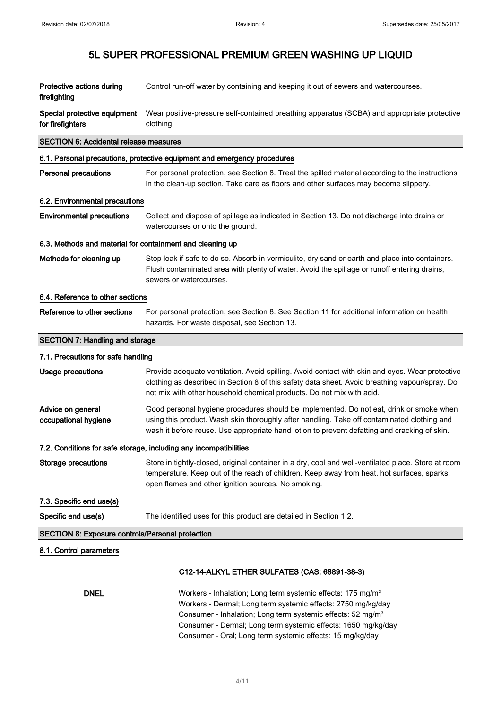| Protective actions during<br>firefighting                 | Control run-off water by containing and keeping it out of sewers and watercourses.                                                                                                                                                                                                                                                               |  |
|-----------------------------------------------------------|--------------------------------------------------------------------------------------------------------------------------------------------------------------------------------------------------------------------------------------------------------------------------------------------------------------------------------------------------|--|
| Special protective equipment<br>for firefighters          | Wear positive-pressure self-contained breathing apparatus (SCBA) and appropriate protective<br>clothing.                                                                                                                                                                                                                                         |  |
| <b>SECTION 6: Accidental release measures</b>             |                                                                                                                                                                                                                                                                                                                                                  |  |
|                                                           | 6.1. Personal precautions, protective equipment and emergency procedures                                                                                                                                                                                                                                                                         |  |
| <b>Personal precautions</b>                               | For personal protection, see Section 8. Treat the spilled material according to the instructions<br>in the clean-up section. Take care as floors and other surfaces may become slippery.                                                                                                                                                         |  |
| 6.2. Environmental precautions                            |                                                                                                                                                                                                                                                                                                                                                  |  |
| <b>Environmental precautions</b>                          | Collect and dispose of spillage as indicated in Section 13. Do not discharge into drains or<br>watercourses or onto the ground.                                                                                                                                                                                                                  |  |
| 6.3. Methods and material for containment and cleaning up |                                                                                                                                                                                                                                                                                                                                                  |  |
| Methods for cleaning up                                   | Stop leak if safe to do so. Absorb in vermiculite, dry sand or earth and place into containers.<br>Flush contaminated area with plenty of water. Avoid the spillage or runoff entering drains,<br>sewers or watercourses.                                                                                                                        |  |
| 6.4. Reference to other sections                          |                                                                                                                                                                                                                                                                                                                                                  |  |
| Reference to other sections                               | For personal protection, see Section 8. See Section 11 for additional information on health<br>hazards. For waste disposal, see Section 13.                                                                                                                                                                                                      |  |
| <b>SECTION 7: Handling and storage</b>                    |                                                                                                                                                                                                                                                                                                                                                  |  |
| 7.1. Precautions for safe handling                        |                                                                                                                                                                                                                                                                                                                                                  |  |
| <b>Usage precautions</b>                                  | Provide adequate ventilation. Avoid spilling. Avoid contact with skin and eyes. Wear protective<br>clothing as described in Section 8 of this safety data sheet. Avoid breathing vapour/spray. Do<br>not mix with other household chemical products. Do not mix with acid.                                                                       |  |
| Advice on general<br>occupational hygiene                 | Good personal hygiene procedures should be implemented. Do not eat, drink or smoke when<br>using this product. Wash skin thoroughly after handling. Take off contaminated clothing and<br>wash it before reuse. Use appropriate hand lotion to prevent defatting and cracking of skin.                                                           |  |
|                                                           | 7.2. Conditions for safe storage, including any incompatibilities                                                                                                                                                                                                                                                                                |  |
| <b>Storage precautions</b>                                | Store in tightly-closed, original container in a dry, cool and well-ventilated place. Store at room<br>temperature. Keep out of the reach of children. Keep away from heat, hot surfaces, sparks,<br>open flames and other ignition sources. No smoking.                                                                                         |  |
| 7.3. Specific end use(s)                                  |                                                                                                                                                                                                                                                                                                                                                  |  |
| Specific end use(s)                                       | The identified uses for this product are detailed in Section 1.2.                                                                                                                                                                                                                                                                                |  |
| <b>SECTION 8: Exposure controls/Personal protection</b>   |                                                                                                                                                                                                                                                                                                                                                  |  |
| 8.1. Control parameters                                   |                                                                                                                                                                                                                                                                                                                                                  |  |
|                                                           | C12-14-ALKYL ETHER SULFATES (CAS: 68891-38-3)                                                                                                                                                                                                                                                                                                    |  |
| <b>DNEL</b>                                               | Workers - Inhalation; Long term systemic effects: 175 mg/m <sup>3</sup><br>Workers - Dermal; Long term systemic effects: 2750 mg/kg/day<br>Consumer - Inhalation; Long term systemic effects: 52 mg/m <sup>3</sup><br>Consumer - Dermal; Long term systemic effects: 1650 mg/kg/day<br>Consumer - Oral; Long term systemic effects: 15 mg/kg/day |  |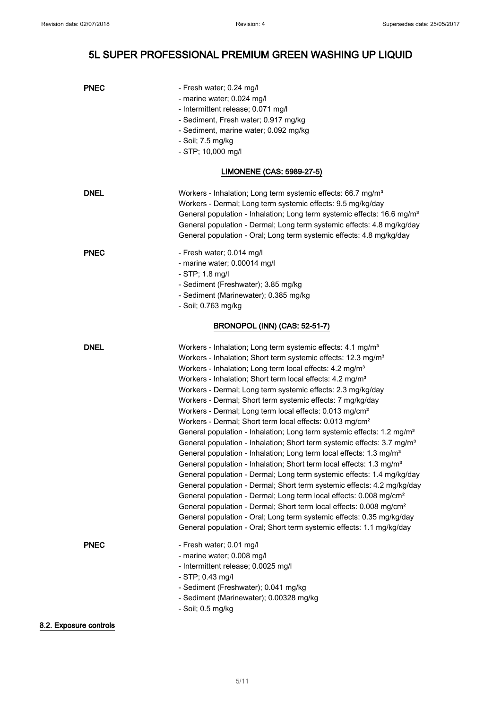| <b>PNEC</b>            | - Fresh water; 0.24 mg/l<br>- marine water; 0.024 mg/l<br>- Intermittent release; 0.071 mg/l<br>- Sediment, Fresh water; 0.917 mg/kg<br>- Sediment, marine water; 0.092 mg/kg<br>- Soil; 7.5 mg/kg<br>- STP; 10,000 mg/l                                                                                                                                                                                                                                                                                                                                                                                                                                                                                                                                                                                                                                                                                                                                                                                                                                                                                                                                                                                                                                                                                                                                                                                          |  |  |
|------------------------|-------------------------------------------------------------------------------------------------------------------------------------------------------------------------------------------------------------------------------------------------------------------------------------------------------------------------------------------------------------------------------------------------------------------------------------------------------------------------------------------------------------------------------------------------------------------------------------------------------------------------------------------------------------------------------------------------------------------------------------------------------------------------------------------------------------------------------------------------------------------------------------------------------------------------------------------------------------------------------------------------------------------------------------------------------------------------------------------------------------------------------------------------------------------------------------------------------------------------------------------------------------------------------------------------------------------------------------------------------------------------------------------------------------------|--|--|
|                        | LIMONENE (CAS: 5989-27-5)                                                                                                                                                                                                                                                                                                                                                                                                                                                                                                                                                                                                                                                                                                                                                                                                                                                                                                                                                                                                                                                                                                                                                                                                                                                                                                                                                                                         |  |  |
| <b>DNEL</b>            | Workers - Inhalation; Long term systemic effects: 66.7 mg/m <sup>3</sup><br>Workers - Dermal; Long term systemic effects: 9.5 mg/kg/day<br>General population - Inhalation; Long term systemic effects: 16.6 mg/m <sup>3</sup><br>General population - Dermal; Long term systemic effects: 4.8 mg/kg/day<br>General population - Oral; Long term systemic effects: 4.8 mg/kg/day                                                                                                                                                                                                                                                                                                                                                                                                                                                                                                                                                                                                                                                                                                                                                                                                                                                                                                                                                                                                                                  |  |  |
| <b>PNEC</b>            | - Fresh water; 0.014 mg/l<br>- marine water; 0.00014 mg/l<br>$-$ STP; 1.8 mg/l<br>- Sediment (Freshwater); 3.85 mg/kg<br>- Sediment (Marinewater); 0.385 mg/kg<br>- Soil; 0.763 mg/kg                                                                                                                                                                                                                                                                                                                                                                                                                                                                                                                                                                                                                                                                                                                                                                                                                                                                                                                                                                                                                                                                                                                                                                                                                             |  |  |
|                        | <b>BRONOPOL (INN) (CAS: 52-51-7)</b>                                                                                                                                                                                                                                                                                                                                                                                                                                                                                                                                                                                                                                                                                                                                                                                                                                                                                                                                                                                                                                                                                                                                                                                                                                                                                                                                                                              |  |  |
| <b>DNEL</b>            | Workers - Inhalation; Long term systemic effects: 4.1 mg/m <sup>3</sup><br>Workers - Inhalation; Short term systemic effects: 12.3 mg/m <sup>3</sup><br>Workers - Inhalation; Long term local effects: 4.2 mg/m <sup>3</sup><br>Workers - Inhalation; Short term local effects: 4.2 mg/m <sup>3</sup><br>Workers - Dermal; Long term systemic effects: 2.3 mg/kg/day<br>Workers - Dermal; Short term systemic effects: 7 mg/kg/day<br>Workers - Dermal; Long term local effects: 0.013 mg/cm <sup>2</sup><br>Workers - Dermal; Short term local effects: 0.013 mg/cm <sup>2</sup><br>General population - Inhalation; Long term systemic effects: 1.2 mg/m <sup>3</sup><br>General population - Inhalation; Short term systemic effects: 3.7 mg/m <sup>3</sup><br>General population - Inhalation; Long term local effects: 1.3 mg/m <sup>3</sup><br>General population - Inhalation; Short term local effects: 1.3 mg/m <sup>3</sup><br>General population - Dermal; Long term systemic effects: 1.4 mg/kg/day<br>General population - Dermal; Short term systemic effects: 4.2 mg/kg/day<br>General population - Dermal; Long term local effects: 0.008 mg/cm <sup>2</sup><br>General population - Dermal; Short term local effects: 0.008 mg/cm <sup>2</sup><br>General population - Oral; Long term systemic effects: 0.35 mg/kg/day<br>General population - Oral; Short term systemic effects: 1.1 mg/kg/day |  |  |
| <b>PNEC</b>            | - Fresh water; 0.01 mg/l<br>- marine water; 0.008 mg/l<br>- Intermittent release; 0.0025 mg/l<br>- STP; 0.43 mg/l<br>- Sediment (Freshwater); 0.041 mg/kg<br>- Sediment (Marinewater); 0.00328 mg/kg<br>- Soil; 0.5 mg/kg                                                                                                                                                                                                                                                                                                                                                                                                                                                                                                                                                                                                                                                                                                                                                                                                                                                                                                                                                                                                                                                                                                                                                                                         |  |  |
| 8.2. Exposure controls |                                                                                                                                                                                                                                                                                                                                                                                                                                                                                                                                                                                                                                                                                                                                                                                                                                                                                                                                                                                                                                                                                                                                                                                                                                                                                                                                                                                                                   |  |  |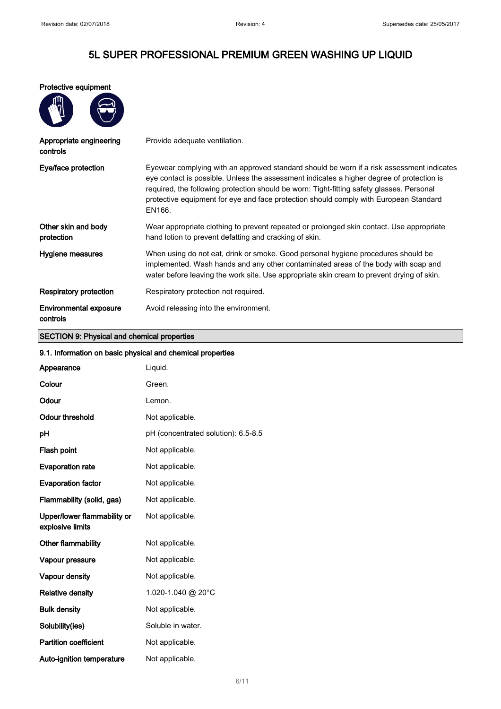Protective equipment

| Appropriate engineering<br>controls | Provide adequate ventilation.                                                                                                                                                                                                                                                                                                                                                          |
|-------------------------------------|----------------------------------------------------------------------------------------------------------------------------------------------------------------------------------------------------------------------------------------------------------------------------------------------------------------------------------------------------------------------------------------|
| Eye/face protection                 | Eyewear complying with an approved standard should be worn if a risk assessment indicates<br>eye contact is possible. Unless the assessment indicates a higher degree of protection is<br>required, the following protection should be worn: Tight-fitting safety glasses. Personal<br>protective equipment for eye and face protection should comply with European Standard<br>EN166. |
| Other skin and body<br>protection   | Wear appropriate clothing to prevent repeated or prolonged skin contact. Use appropriate<br>hand lotion to prevent defatting and cracking of skin.                                                                                                                                                                                                                                     |
| Hygiene measures                    | When using do not eat, drink or smoke. Good personal hygiene procedures should be<br>implemented. Wash hands and any other contaminated areas of the body with soap and<br>water before leaving the work site. Use appropriate skin cream to prevent drying of skin.                                                                                                                   |
| Respiratory protection              | Respiratory protection not required.                                                                                                                                                                                                                                                                                                                                                   |
| Environmental exposure<br>controls  | Avoid releasing into the environment.                                                                                                                                                                                                                                                                                                                                                  |

#### SECTION 9: Physical and chemical properties

| 9.1. Information on basic physical and chemical properties |                                     |  |
|------------------------------------------------------------|-------------------------------------|--|
| Appearance                                                 | Liquid.                             |  |
| Colour                                                     | Green.                              |  |
| Odour                                                      | Lemon.                              |  |
| <b>Odour threshold</b>                                     | Not applicable.                     |  |
| рH                                                         | pH (concentrated solution): 6.5-8.5 |  |
| Flash point                                                | Not applicable.                     |  |
| <b>Evaporation rate</b>                                    | Not applicable.                     |  |
| <b>Evaporation factor</b>                                  | Not applicable.                     |  |
| Flammability (solid, gas)                                  | Not applicable.                     |  |
| Upper/lower flammability or<br>explosive limits            | Not applicable.                     |  |
| <b>Other flammability</b>                                  | Not applicable.                     |  |
| Vapour pressure                                            | Not applicable.                     |  |
| Vapour density                                             | Not applicable.                     |  |
| <b>Relative density</b>                                    | 1.020-1.040 @ 20°C                  |  |
| <b>Bulk density</b>                                        | Not applicable.                     |  |
| Solubility(ies)                                            | Soluble in water.                   |  |
| <b>Partition coefficient</b>                               | Not applicable.                     |  |
| Auto-ignition temperature                                  | Not applicable.                     |  |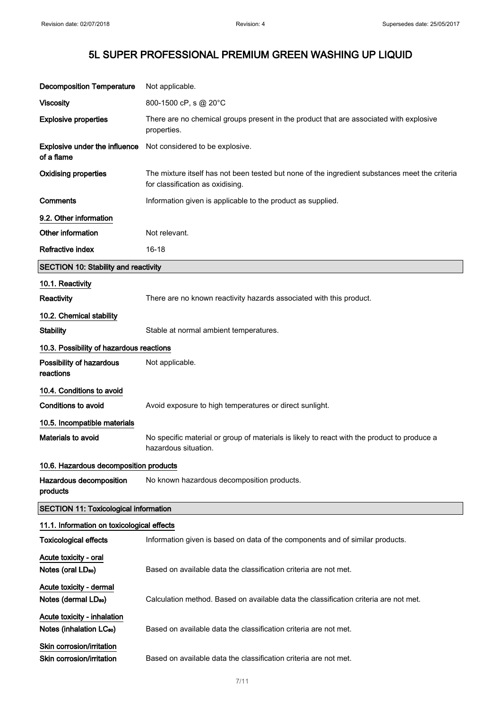| <b>Decomposition Temperature</b>                                    | Not applicable.                                                                                                                    |
|---------------------------------------------------------------------|------------------------------------------------------------------------------------------------------------------------------------|
| <b>Viscosity</b>                                                    | 800-1500 cP, s @ 20°C                                                                                                              |
| <b>Explosive properties</b>                                         | There are no chemical groups present in the product that are associated with explosive<br>properties.                              |
| <b>Explosive under the influence</b><br>of a flame                  | Not considered to be explosive.                                                                                                    |
| <b>Oxidising properties</b>                                         | The mixture itself has not been tested but none of the ingredient substances meet the criteria<br>for classification as oxidising. |
| Comments                                                            | Information given is applicable to the product as supplied.                                                                        |
| 9.2. Other information                                              |                                                                                                                                    |
| Other information                                                   | Not relevant.                                                                                                                      |
| Refractive index                                                    | $16 - 18$                                                                                                                          |
| <b>SECTION 10: Stability and reactivity</b>                         |                                                                                                                                    |
| 10.1. Reactivity                                                    |                                                                                                                                    |
| Reactivity                                                          | There are no known reactivity hazards associated with this product.                                                                |
| 10.2. Chemical stability                                            |                                                                                                                                    |
| <b>Stability</b>                                                    | Stable at normal ambient temperatures.                                                                                             |
| 10.3. Possibility of hazardous reactions                            |                                                                                                                                    |
| Possibility of hazardous<br>reactions                               | Not applicable.                                                                                                                    |
| 10.4. Conditions to avoid                                           |                                                                                                                                    |
| <b>Conditions to avoid</b>                                          | Avoid exposure to high temperatures or direct sunlight.                                                                            |
| 10.5. Incompatible materials                                        |                                                                                                                                    |
| <b>Materials to avoid</b>                                           | No specific material or group of materials is likely to react with the product to produce a<br>hazardous situation.                |
| 10.6. Hazardous decomposition products                              |                                                                                                                                    |
| Hazardous decomposition<br>products                                 | No known hazardous decomposition products.                                                                                         |
| <b>SECTION 11: Toxicological information</b>                        |                                                                                                                                    |
| 11.1. Information on toxicological effects                          |                                                                                                                                    |
| <b>Toxicological effects</b>                                        | Information given is based on data of the components and of similar products.                                                      |
| Acute toxicity - oral<br>Notes (oral LD <sub>50</sub> )             | Based on available data the classification criteria are not met.                                                                   |
| Acute toxicity - dermal<br>Notes (dermal LD <sub>50</sub> )         | Calculation method. Based on available data the classification criteria are not met.                                               |
| Acute toxicity - inhalation<br>Notes (inhalation LC <sub>50</sub> ) | Based on available data the classification criteria are not met.                                                                   |
| Skin corrosion/irritation<br>Skin corrosion/irritation              | Based on available data the classification criteria are not met.                                                                   |

7/ 11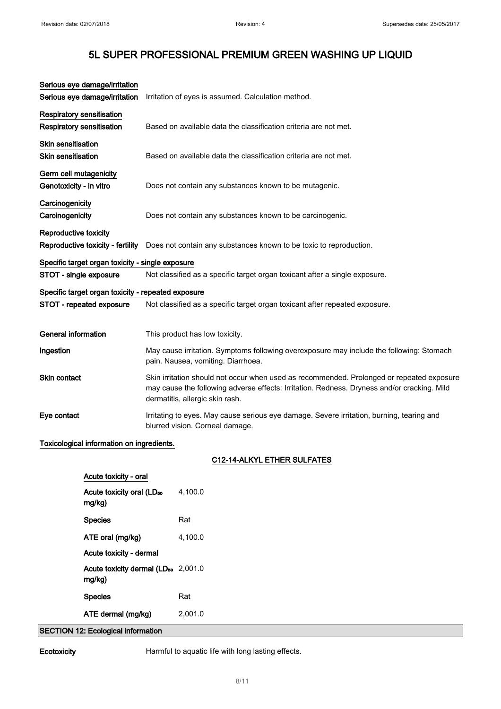| Serious eye damage/irritation                      |                                                                                                                                                                                                                             |  |
|----------------------------------------------------|-----------------------------------------------------------------------------------------------------------------------------------------------------------------------------------------------------------------------------|--|
| Serious eye damage/irritation                      | Irritation of eyes is assumed. Calculation method.                                                                                                                                                                          |  |
| Respiratory sensitisation                          |                                                                                                                                                                                                                             |  |
| Respiratory sensitisation                          | Based on available data the classification criteria are not met.                                                                                                                                                            |  |
| <b>Skin sensitisation</b>                          |                                                                                                                                                                                                                             |  |
| <b>Skin sensitisation</b>                          | Based on available data the classification criteria are not met.                                                                                                                                                            |  |
| Germ cell mutagenicity                             |                                                                                                                                                                                                                             |  |
| Genotoxicity - in vitro                            | Does not contain any substances known to be mutagenic.                                                                                                                                                                      |  |
| Carcinogenicity                                    |                                                                                                                                                                                                                             |  |
| Carcinogenicity                                    | Does not contain any substances known to be carcinogenic.                                                                                                                                                                   |  |
| Reproductive toxicity                              |                                                                                                                                                                                                                             |  |
| Reproductive toxicity - fertility                  | Does not contain any substances known to be toxic to reproduction.                                                                                                                                                          |  |
| Specific target organ toxicity - single exposure   |                                                                                                                                                                                                                             |  |
| STOT - single exposure                             | Not classified as a specific target organ toxicant after a single exposure.                                                                                                                                                 |  |
| Specific target organ toxicity - repeated exposure |                                                                                                                                                                                                                             |  |
| STOT - repeated exposure                           | Not classified as a specific target organ toxicant after repeated exposure.                                                                                                                                                 |  |
|                                                    |                                                                                                                                                                                                                             |  |
| <b>General information</b>                         | This product has low toxicity.                                                                                                                                                                                              |  |
| Ingestion                                          | May cause irritation. Symptoms following overexposure may include the following: Stomach<br>pain. Nausea, vomiting. Diarrhoea.                                                                                              |  |
| <b>Skin contact</b>                                | Skin irritation should not occur when used as recommended. Prolonged or repeated exposure<br>may cause the following adverse effects: Irritation. Redness. Dryness and/or cracking. Mild<br>dermatitis, allergic skin rash. |  |
| Eye contact                                        | Irritating to eyes. May cause serious eye damage. Severe irritation, burning, tearing and<br>blurred vision. Corneal damage.                                                                                                |  |
|                                                    |                                                                                                                                                                                                                             |  |

### Toxicological information on ingredients.

#### C12-14-ALKYL ETHER SULFATES

| Acute toxicity - oral                                     |         |
|-----------------------------------------------------------|---------|
| Acute toxicity oral (LD <sub>50</sub><br>mg/kg)           | 4,100.0 |
| <b>Species</b>                                            | Rat     |
| ATE oral (mg/kg)                                          | 4.100.0 |
| Acute toxicity - dermal                                   |         |
| Acute toxicity dermal (LD <sub>50</sub> 2,001.0<br>mg/kg) |         |
| <b>Species</b>                                            | Rat     |
| ATE dermal (mg/kg)                                        | 2.001.0 |
| والمحامر والمرجان<br>$\sim$ $-$                           |         |

SECTION 12: Ecological information

Ecotoxicity **Harmful to aquatic life with long lasting effects.**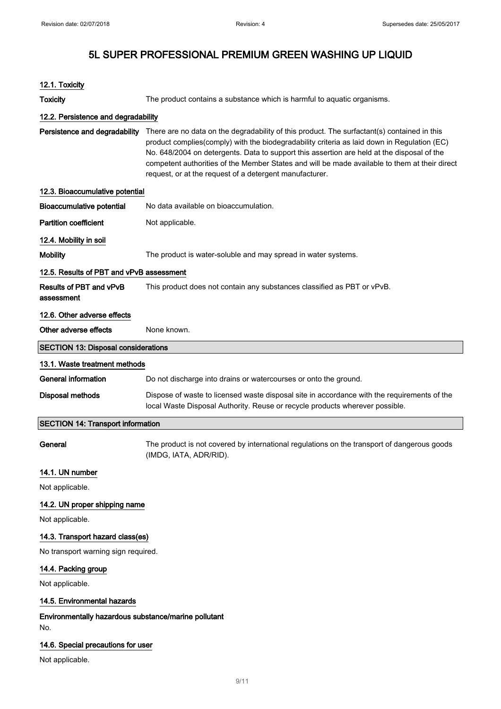| 12.1. Toxicity                                              |                                                                                                                                                                                                                                                                                                                                                                                                                                                      |  |  |
|-------------------------------------------------------------|------------------------------------------------------------------------------------------------------------------------------------------------------------------------------------------------------------------------------------------------------------------------------------------------------------------------------------------------------------------------------------------------------------------------------------------------------|--|--|
| <b>Toxicity</b>                                             | The product contains a substance which is harmful to aquatic organisms.                                                                                                                                                                                                                                                                                                                                                                              |  |  |
| 12.2. Persistence and degradability                         |                                                                                                                                                                                                                                                                                                                                                                                                                                                      |  |  |
| Persistence and degradability                               | There are no data on the degradability of this product. The surfactant(s) contained in this<br>product complies(comply) with the biodegradability criteria as laid down in Regulation (EC)<br>No. 648/2004 on detergents. Data to support this assertion are held at the disposal of the<br>competent authorities of the Member States and will be made available to them at their direct<br>request, or at the request of a detergent manufacturer. |  |  |
| 12.3. Bioaccumulative potential                             |                                                                                                                                                                                                                                                                                                                                                                                                                                                      |  |  |
| <b>Bioaccumulative potential</b>                            | No data available on bioaccumulation.                                                                                                                                                                                                                                                                                                                                                                                                                |  |  |
| <b>Partition coefficient</b>                                | Not applicable.                                                                                                                                                                                                                                                                                                                                                                                                                                      |  |  |
| 12.4. Mobility in soil                                      |                                                                                                                                                                                                                                                                                                                                                                                                                                                      |  |  |
| <b>Mobility</b>                                             | The product is water-soluble and may spread in water systems.                                                                                                                                                                                                                                                                                                                                                                                        |  |  |
| 12.5. Results of PBT and vPvB assessment                    |                                                                                                                                                                                                                                                                                                                                                                                                                                                      |  |  |
| Results of PBT and vPvB<br>assessment                       | This product does not contain any substances classified as PBT or vPvB.                                                                                                                                                                                                                                                                                                                                                                              |  |  |
| 12.6. Other adverse effects                                 |                                                                                                                                                                                                                                                                                                                                                                                                                                                      |  |  |
| Other adverse effects                                       | None known.                                                                                                                                                                                                                                                                                                                                                                                                                                          |  |  |
| <b>SECTION 13: Disposal considerations</b>                  |                                                                                                                                                                                                                                                                                                                                                                                                                                                      |  |  |
| 13.1. Waste treatment methods                               |                                                                                                                                                                                                                                                                                                                                                                                                                                                      |  |  |
| <b>General information</b>                                  | Do not discharge into drains or watercourses or onto the ground.                                                                                                                                                                                                                                                                                                                                                                                     |  |  |
| <b>Disposal methods</b>                                     | Dispose of waste to licensed waste disposal site in accordance with the requirements of the<br>local Waste Disposal Authority. Reuse or recycle products wherever possible.                                                                                                                                                                                                                                                                          |  |  |
| <b>SECTION 14: Transport information</b>                    |                                                                                                                                                                                                                                                                                                                                                                                                                                                      |  |  |
| General                                                     | The product is not covered by international regulations on the transport of dangerous goods<br>(IMDG, IATA, ADR/RID).                                                                                                                                                                                                                                                                                                                                |  |  |
| 14.1. UN number                                             |                                                                                                                                                                                                                                                                                                                                                                                                                                                      |  |  |
| Not applicable.                                             |                                                                                                                                                                                                                                                                                                                                                                                                                                                      |  |  |
| 14.2. UN proper shipping name                               |                                                                                                                                                                                                                                                                                                                                                                                                                                                      |  |  |
| Not applicable.                                             |                                                                                                                                                                                                                                                                                                                                                                                                                                                      |  |  |
| 14.3. Transport hazard class(es)                            |                                                                                                                                                                                                                                                                                                                                                                                                                                                      |  |  |
| No transport warning sign required.                         |                                                                                                                                                                                                                                                                                                                                                                                                                                                      |  |  |
| 14.4. Packing group                                         |                                                                                                                                                                                                                                                                                                                                                                                                                                                      |  |  |
| Not applicable.                                             |                                                                                                                                                                                                                                                                                                                                                                                                                                                      |  |  |
| 14.5. Environmental hazards                                 |                                                                                                                                                                                                                                                                                                                                                                                                                                                      |  |  |
| Environmentally hazardous substance/marine pollutant<br>No. |                                                                                                                                                                                                                                                                                                                                                                                                                                                      |  |  |
| 14.6. Special precautions for user                          |                                                                                                                                                                                                                                                                                                                                                                                                                                                      |  |  |
| Not applicable.                                             |                                                                                                                                                                                                                                                                                                                                                                                                                                                      |  |  |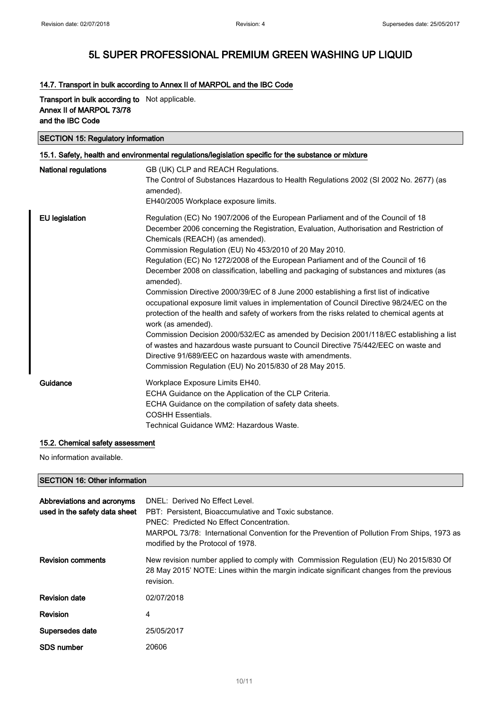### 14.7. Transport in bulk according to Annex II of MARPOL and the IBC Code

#### Transport in bulk according to Not applicable. Annex II of MARPOL 73/78 and the IBC Code

#### SECTION 15: Regulatory information

| 15.1. Safety, health and environmental regulations/legislation specific for the substance or mixture |                                                                                                                                                                                                                                                                                                                                                                                                                                                                                                                                                                                                                                                                                                                                                                                                                                                                                                                                                                                                                                                                                         |  |
|------------------------------------------------------------------------------------------------------|-----------------------------------------------------------------------------------------------------------------------------------------------------------------------------------------------------------------------------------------------------------------------------------------------------------------------------------------------------------------------------------------------------------------------------------------------------------------------------------------------------------------------------------------------------------------------------------------------------------------------------------------------------------------------------------------------------------------------------------------------------------------------------------------------------------------------------------------------------------------------------------------------------------------------------------------------------------------------------------------------------------------------------------------------------------------------------------------|--|
| National regulations                                                                                 | GB (UK) CLP and REACH Regulations.<br>The Control of Substances Hazardous to Health Regulations 2002 (SI 2002 No. 2677) (as<br>amended).<br>EH40/2005 Workplace exposure limits.                                                                                                                                                                                                                                                                                                                                                                                                                                                                                                                                                                                                                                                                                                                                                                                                                                                                                                        |  |
| <b>EU</b> legislation                                                                                | Regulation (EC) No 1907/2006 of the European Parliament and of the Council of 18<br>December 2006 concerning the Registration, Evaluation, Authorisation and Restriction of<br>Chemicals (REACH) (as amended).<br>Commission Regulation (EU) No 453/2010 of 20 May 2010.<br>Regulation (EC) No 1272/2008 of the European Parliament and of the Council of 16<br>December 2008 on classification, labelling and packaging of substances and mixtures (as<br>amended).<br>Commission Directive 2000/39/EC of 8 June 2000 establishing a first list of indicative<br>occupational exposure limit values in implementation of Council Directive 98/24/EC on the<br>protection of the health and safety of workers from the risks related to chemical agents at<br>work (as amended).<br>Commission Decision 2000/532/EC as amended by Decision 2001/118/EC establishing a list<br>of wastes and hazardous waste pursuant to Council Directive 75/442/EEC on waste and<br>Directive 91/689/EEC on hazardous waste with amendments.<br>Commission Regulation (EU) No 2015/830 of 28 May 2015. |  |
| Guidance                                                                                             | Workplace Exposure Limits EH40.<br>ECHA Guidance on the Application of the CLP Criteria.<br>ECHA Guidance on the compilation of safety data sheets.<br><b>COSHH Essentials.</b><br>Technical Guidance WM2: Hazardous Waste.                                                                                                                                                                                                                                                                                                                                                                                                                                                                                                                                                                                                                                                                                                                                                                                                                                                             |  |

#### 15.2. Chemical safety assessment

No information available.

#### SECTION 16: Other information

| Abbreviations and acronyms<br>used in the safety data sheet | DNEL: Derived No Effect Level.<br>PBT: Persistent, Bioaccumulative and Toxic substance.<br>PNEC: Predicted No Effect Concentration.<br>MARPOL 73/78: International Convention for the Prevention of Pollution From Ships, 1973 as<br>modified by the Protocol of 1978. |
|-------------------------------------------------------------|------------------------------------------------------------------------------------------------------------------------------------------------------------------------------------------------------------------------------------------------------------------------|
| <b>Revision comments</b>                                    | New revision number applied to comply with Commission Regulation (EU) No 2015/830 Of<br>28 May 2015' NOTE: Lines within the margin indicate significant changes from the previous<br>revision.                                                                         |
| <b>Revision date</b>                                        | 02/07/2018                                                                                                                                                                                                                                                             |
| Revision                                                    | 4                                                                                                                                                                                                                                                                      |
| Supersedes date                                             | 25/05/2017                                                                                                                                                                                                                                                             |
| SDS number                                                  | 20606                                                                                                                                                                                                                                                                  |